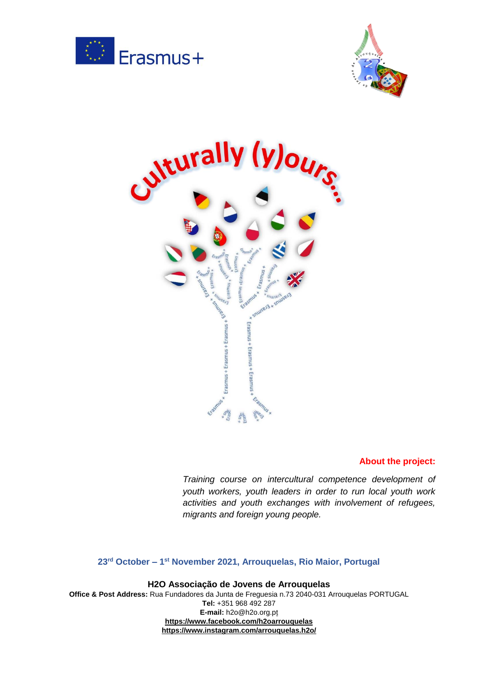





#### **About the project:**

*Training course on intercultural competence development of youth workers, youth leaders in order to run local youth work activities and youth exchanges with involvement of refugees, migrants and foreign young people.*

### **23rd October – 1 st November 2021, Arrouquelas, Rio Maior, Portugal**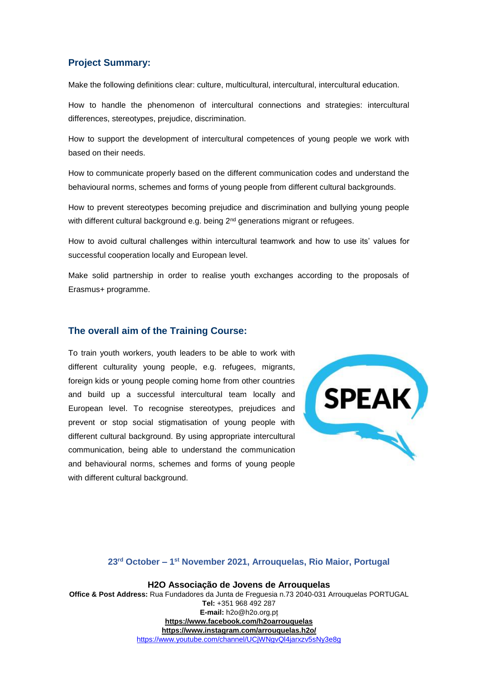### **Project Summary:**

Make the following definitions clear: culture, multicultural, intercultural, intercultural education.

How to handle the phenomenon of intercultural connections and strategies: intercultural differences, stereotypes, prejudice, discrimination.

How to support the development of intercultural competences of young people we work with based on their needs.

How to communicate properly based on the different communication codes and understand the behavioural norms, schemes and forms of young people from different cultural backgrounds.

How to prevent stereotypes becoming prejudice and discrimination and bullying young people with different cultural background e.g. being 2<sup>nd</sup> generations migrant or refugees.

How to avoid cultural challenges within intercultural teamwork and how to use its' values for successful cooperation locally and European level.

Make solid partnership in order to realise youth exchanges according to the proposals of Erasmus+ programme.

#### **The overall aim of the Training Course:**

To train youth workers, youth leaders to be able to work with different culturality young people, e.g. refugees, migrants, foreign kids or young people coming home from other countries and build up a successful intercultural team locally and European level. To recognise stereotypes, prejudices and prevent or stop social stigmatisation of young people with different cultural background. By using appropriate intercultural communication, being able to understand the communication and behavioural norms, schemes and forms of young people with different cultural background.



#### **23rd October – 1 st November 2021, Arrouquelas, Rio Maior, Portugal**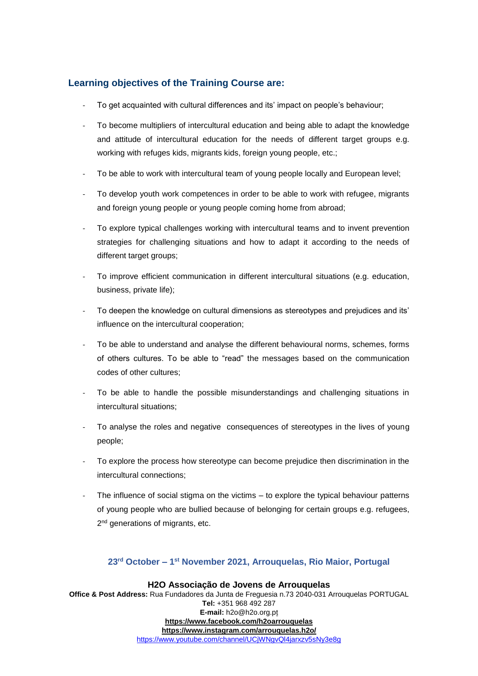# **Learning objectives of the Training Course are:**

- To get acquainted with cultural differences and its' impact on people's behaviour;
- To become multipliers of intercultural education and being able to adapt the knowledge and attitude of intercultural education for the needs of different target groups e.g. working with refuges kids, migrants kids, foreign young people, etc.;
- To be able to work with intercultural team of young people locally and European level;
- To develop youth work competences in order to be able to work with refugee, migrants and foreign young people or young people coming home from abroad;
- To explore typical challenges working with intercultural teams and to invent prevention strategies for challenging situations and how to adapt it according to the needs of different target groups;
- To improve efficient communication in different intercultural situations (e.g. education, business, private life);
- To deepen the knowledge on cultural dimensions as stereotypes and prejudices and its' influence on the intercultural cooperation;
- To be able to understand and analyse the different behavioural norms, schemes, forms of others cultures. To be able to "read" the messages based on the communication codes of other cultures;
- To be able to handle the possible misunderstandings and challenging situations in intercultural situations;
- To analyse the roles and negative consequences of stereotypes in the lives of young people;
- To explore the process how stereotype can become prejudice then discrimination in the intercultural connections;
- The influence of social stigma on the victims to explore the typical behaviour patterns of young people who are bullied because of belonging for certain groups e.g. refugees, 2<sup>nd</sup> generations of migrants, etc.

# **23rd October – 1 st November 2021, Arrouquelas, Rio Maior, Portugal**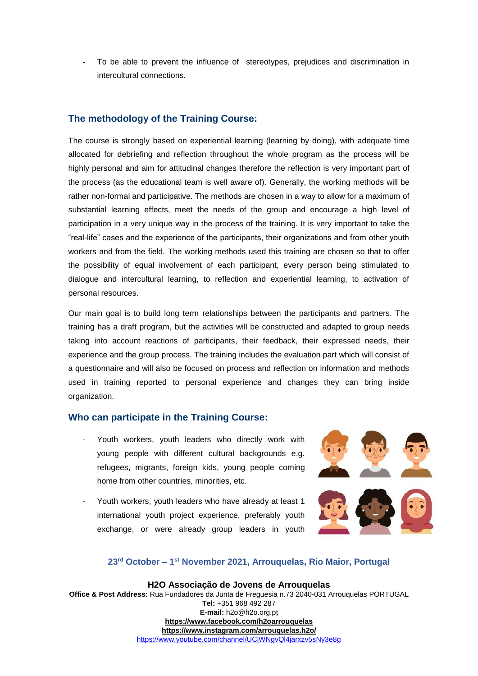To be able to prevent the influence of stereotypes, prejudices and discrimination in intercultural connections.

# **The methodology of the Training Course:**

The course is strongly based on experiential learning (learning by doing), with adequate time allocated for debriefing and reflection throughout the whole program as the process will be highly personal and aim for attitudinal changes therefore the reflection is very important part of the process (as the educational team is well aware of). Generally, the working methods will be rather non-formal and participative. The methods are chosen in a way to allow for a maximum of substantial learning effects, meet the needs of the group and encourage a high level of participation in a very unique way in the process of the training. It is very important to take the "real-life" cases and the experience of the participants, their organizations and from other youth workers and from the field. The working methods used this training are chosen so that to offer the possibility of equal involvement of each participant, every person being stimulated to dialogue and intercultural learning, to reflection and experiential learning, to activation of personal resources.

Our main goal is to build long term relationships between the participants and partners. The training has a draft program, but the activities will be constructed and adapted to group needs taking into account reactions of participants, their feedback, their expressed needs, their experience and the group process. The training includes the evaluation part which will consist of a questionnaire and will also be focused on process and reflection on information and methods used in training reported to personal experience and changes they can bring inside organization.

### **Who can participate in the Training Course:**

- Youth workers, youth leaders who directly work with young people with different cultural backgrounds e.g. refugees, migrants, foreign kids, young people coming home from other countries, minorities, etc.
- Youth workers, youth leaders who have already at least 1 international youth project experience, preferably youth exchange, or were already group leaders in youth



### **23rd October – 1 st November 2021, Arrouquelas, Rio Maior, Portugal**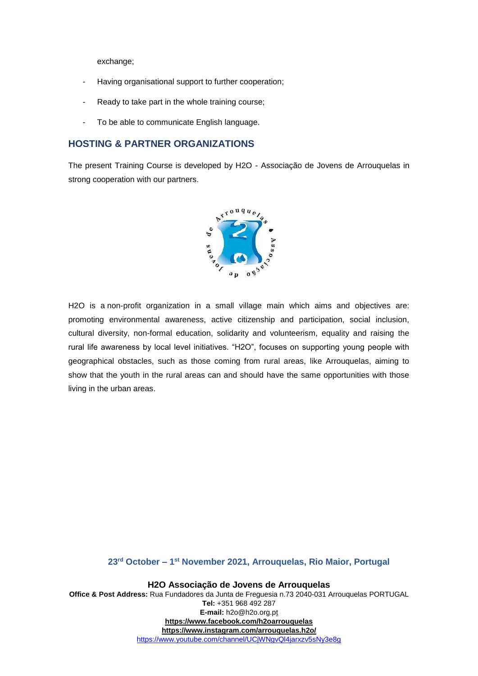exchange;

- Having organisational support to further cooperation;
- Ready to take part in the whole training course;
- To be able to communicate English language.

# **HOSTING & PARTNER ORGANIZATIONS**

The present Training Course is developed by H2O - Associação de Jovens de Arrouquelas in strong cooperation with our partners.



H2O is a non-profit organization in a small village main which aims and objectives are: promoting environmental awareness, active citizenship and participation, social inclusion, cultural diversity, non-formal education, solidarity and volunteerism, equality and raising the rural life awareness by local level initiatives. "H2O", focuses on supporting young people with geographical obstacles, such as those coming from rural areas, like Arrouquelas, aiming to show that the youth in the rural areas can and should have the same opportunities with those living in the urban areas.

#### **23rd October – 1 st November 2021, Arrouquelas, Rio Maior, Portugal**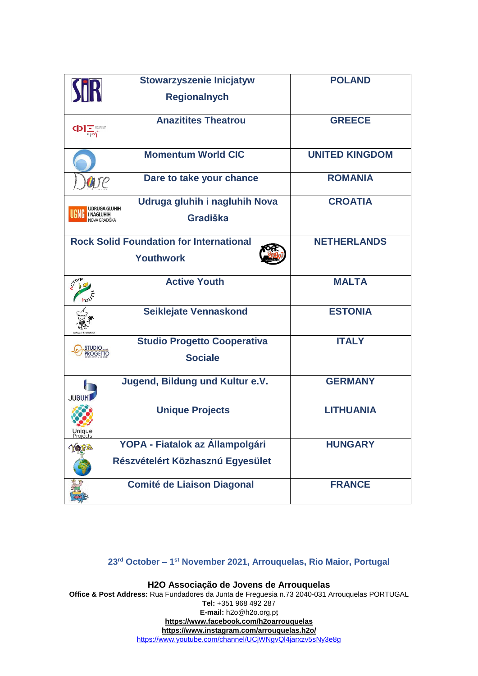|                                    | <b>Stowarzyszenie Inicjatyw</b>                | <b>POLAND</b>         |  |  |  |
|------------------------------------|------------------------------------------------|-----------------------|--|--|--|
|                                    | <b>Regionalnych</b>                            |                       |  |  |  |
|                                    | <b>Anazitites Theatrou</b>                     | <b>GREECE</b>         |  |  |  |
|                                    | <b>Momentum World CIC</b>                      | <b>UNITED KINGDOM</b> |  |  |  |
| DUTE                               | Dare to take your chance                       | <b>ROMANIA</b>        |  |  |  |
| UDRUGA GLUHIH                      | Udruga gluhih i nagluhih Nova                  | <b>CROATIA</b>        |  |  |  |
| <b>I NAGLUHIH</b><br>IOVA GRADIŠKA | Gradiška                                       |                       |  |  |  |
|                                    | <b>Rock Solid Foundation for International</b> | <b>NETHERLANDS</b>    |  |  |  |
|                                    | <b>Youthwork</b>                               |                       |  |  |  |
| <b>CIVE</b>                        | <b>Active Youth</b>                            | <b>MALTA</b>          |  |  |  |
|                                    | Seiklejate Vennaskond                          | <b>ESTONIA</b>        |  |  |  |
| STUDIO                             | <b>Studio Progetto Cooperativa</b>             | <b>ITALY</b>          |  |  |  |
| <b>PROGETTO</b>                    | <b>Sociale</b>                                 |                       |  |  |  |
| <b>JUBUK</b>                       | Jugend, Bildung und Kultur e.V.                | <b>GERMANY</b>        |  |  |  |
|                                    | <b>Unique Projects</b>                         | <b>LITHUANIA</b>      |  |  |  |
| Projects                           | YOPA - Fiatalok az Állampolgári                | <b>HUNGARY</b>        |  |  |  |
|                                    |                                                |                       |  |  |  |
|                                    | Részvételért Közhasznú Egyesület               |                       |  |  |  |
|                                    | <b>Comité de Liaison Diagonal</b>              | <b>FRANCE</b>         |  |  |  |

# **23rd October – 1 st November 2021, Arrouquelas, Rio Maior, Portugal**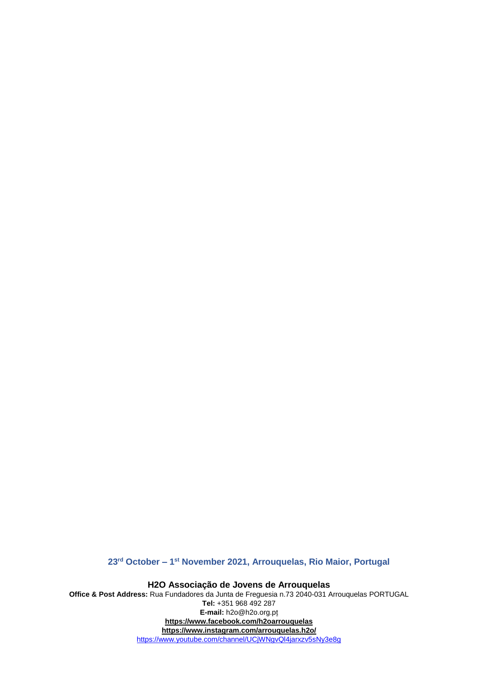**23rd October – 1 st November 2021, Arrouquelas, Rio Maior, Portugal**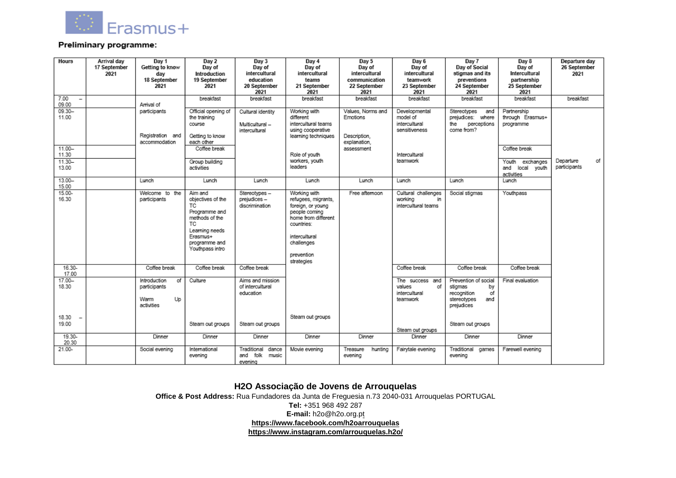

#### Preliminary programme:

| Hours              | Arrival day<br>17 September<br>2021 | Day 1<br>Getting to know<br>dav<br>18 September<br>2021               | Day 2<br>Day of<br>Introduction<br>19 September<br>2021                                                                                        | Day 3<br>Day of<br>intercultural<br>education<br>20 September<br>2021 | Day 4<br>Day of<br>intercultural<br>teams<br>21 September<br>2021                                                                                                         | Day 5<br>Day of<br>intercultural<br>communication<br>22 September<br>2021 | Day 6<br>Day of<br>intercultural<br>teamwork<br>23 September<br>2021 | Day 7<br>Day of Social<br>stigmas and its<br>preventions<br>24 September<br>2021               | Day 8<br>Day of<br>Intercultural<br>partnership<br>25 September<br>2021 | Departure day<br>26 September<br>2021 |
|--------------------|-------------------------------------|-----------------------------------------------------------------------|------------------------------------------------------------------------------------------------------------------------------------------------|-----------------------------------------------------------------------|---------------------------------------------------------------------------------------------------------------------------------------------------------------------------|---------------------------------------------------------------------------|----------------------------------------------------------------------|------------------------------------------------------------------------------------------------|-------------------------------------------------------------------------|---------------------------------------|
| 7.00<br>09.00      |                                     | Arrival of                                                            | breakfast                                                                                                                                      | breakfast                                                             | breakfast                                                                                                                                                                 | breakfast                                                                 | breakfast                                                            | breakfast                                                                                      | breakfast                                                               | breakfast                             |
| $09.30 -$<br>11.00 |                                     | participants<br>Registration and<br>accommodation                     | Official opening of<br>the training<br>course<br>Getting to know<br>each other                                                                 | Cultural identity<br>Multicultural -<br>intercultural                 | Working with<br>different<br>intercultural teams<br>using cooperative<br>learning techniques                                                                              | Values, Norms and<br>Emotions<br>Description.<br>explanation,             | Developmental<br>model of<br>intercultural<br>sensitiveness          | Stereotypes<br>and<br>prejudices: where<br>the perceptions<br>come from?                       | Partnership<br>through Erasmus+<br>programme                            |                                       |
| $11.00 -$<br>11.30 |                                     |                                                                       | Coffee break                                                                                                                                   |                                                                       | Role of youth                                                                                                                                                             | assessment                                                                | Intercultural                                                        |                                                                                                | Coffee break                                                            |                                       |
| $11.30 -$<br>13.00 |                                     |                                                                       | Group building<br>activities                                                                                                                   |                                                                       | workers, youth<br>leaders                                                                                                                                                 |                                                                           | teamwork                                                             |                                                                                                | Youth exchanges<br>and local youth<br>activities                        | οf<br>Departure<br>participants       |
| $13.00 -$<br>15.00 |                                     | Lunch                                                                 | Lunch                                                                                                                                          | Lunch                                                                 | Lunch                                                                                                                                                                     | Lunch                                                                     | Lunch                                                                | Lunch                                                                                          | Lunch                                                                   |                                       |
| $15.00 -$<br>16.30 |                                     | Welcome to the<br>participants                                        | Aim and<br>objectives of the<br>ТC<br>Programme and<br>methods of the<br>TC:<br>Learning needs<br>Erasmus+<br>programme and<br>Youthpass intro | Stereotypes-<br>prejudices-<br>discrimination                         | Working with<br>refugees, migrants,<br>foreign, or young<br>people coming<br>home from different<br>countries:<br>intercultural<br>challenges<br>prevention<br>strategies | Free afternoon                                                            | Cultural challenges<br>working<br>in<br>intercultural teams          | Social stigmas                                                                                 | Youthpass                                                               |                                       |
| 16.30-<br>17.00    |                                     | Coffee break                                                          | Coffee break                                                                                                                                   | Coffee break                                                          |                                                                                                                                                                           |                                                                           | Coffee break                                                         | Coffee break                                                                                   | Coffee break                                                            |                                       |
| 17.00-<br>18.30    |                                     | <b>Introduction</b><br>of<br>participants<br>Up<br>Warm<br>activities | Culture                                                                                                                                        | Aims and mission<br>of intercultural<br>education                     |                                                                                                                                                                           |                                                                           | The success and<br>values<br>of<br>intercultural<br>teamwork         | Prevention of social<br>stigmas<br>by<br>οf<br>recognition<br>stereotypes<br>and<br>prejudices | Final evaluation                                                        |                                       |
| 18.30<br>19.00     |                                     |                                                                       | Steam out groups                                                                                                                               | Steam out groups                                                      | Steam out groups                                                                                                                                                          |                                                                           |                                                                      | Steam out groups                                                                               |                                                                         |                                       |
| 19.30-<br>20.30    |                                     | Dinner                                                                | Dinner                                                                                                                                         | Dinner                                                                | Dinner                                                                                                                                                                    | Dinner                                                                    | Steam out groups<br>Dinner                                           | Dinner                                                                                         | Dinner                                                                  |                                       |
| 21.00-             |                                     | Social evening                                                        | International<br>evening                                                                                                                       | Traditional dance<br>and folk<br>music<br>evening                     | Movie evening                                                                                                                                                             | Treasure<br>hunting<br>evening                                            | Fairytale evening                                                    | Traditional games<br>evening                                                                   | Farewell evening                                                        |                                       |

#### **H2O Associação de Jovens de Arrouquelas**

**Office & Post Address:** Rua Fundadores da Junta de Freguesia n.73 2040-031 Arrouquelas [PORTUGAL](https://www.google.com/maps/dir/?api=1&destination=39.257613400018%2C-8.894537166674&fbclid=IwAR05A0TYoK6Z4CU0cDjG6ckxYzLtgXiPzLWriYsmzi6AAnuUW6UQ0eF5uUA) **Tel:** +351 968 492 287 **E-mail:** [h2o@h2o.org.pt](mailto:vcs_contact@yahoo.com) **<https://www.facebook.com/h2oarrouquelas> <https://www.instagram.com/arrouquelas.h2o/>**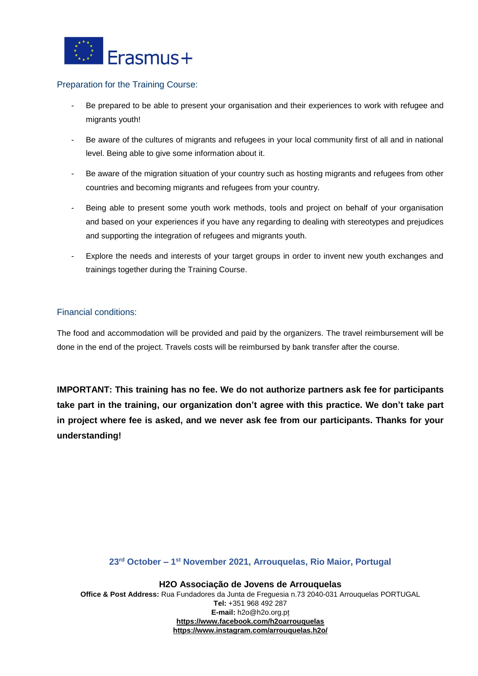

### Preparation for the Training Course:

- Be prepared to be able to present your organisation and their experiences to work with refugee and migrants youth!
- Be aware of the cultures of migrants and refugees in your local community first of all and in national level. Being able to give some information about it.
- Be aware of the migration situation of your country such as hosting migrants and refugees from other countries and becoming migrants and refugees from your country.
- Being able to present some youth work methods, tools and project on behalf of your organisation and based on your experiences if you have any regarding to dealing with stereotypes and prejudices and supporting the integration of refugees and migrants youth.
- Explore the needs and interests of your target groups in order to invent new youth exchanges and trainings together during the Training Course.

### Financial conditions:

The food and accommodation will be provided and paid by the organizers. The travel reimbursement will be done in the end of the project. Travels costs will be reimbursed by bank transfer after the course.

**IMPORTANT: This training has no fee. We do not authorize partners ask fee for participants take part in the training, our organization don't agree with this practice. We don't take part in project where fee is asked, and we never ask fee from our participants. Thanks for your understanding!**

#### **23rd October – 1 st November 2021, Arrouquelas, Rio Maior, Portugal**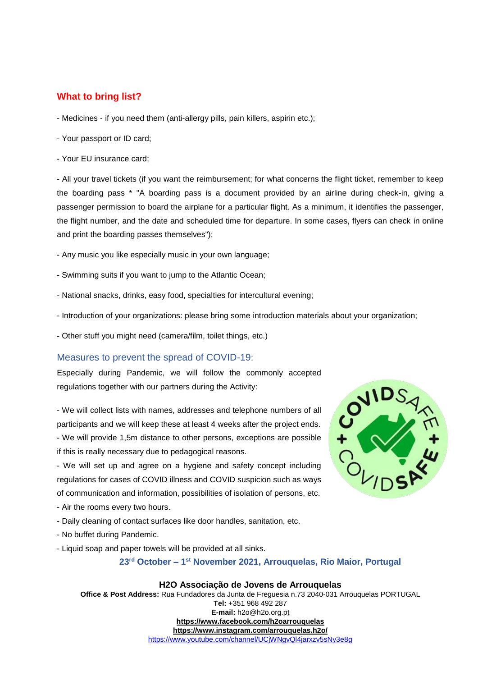# **What to bring list?**

- Medicines if you need them (anti-allergy pills, pain killers, aspirin etc.);
- Your passport or ID card;
- Your EU insurance card;

- All your travel tickets (if you want the reimbursement; for what concerns the flight ticket, remember to keep the boarding pass \* "A boarding pass is a document provided by an airline during check-in, giving a passenger permission to board the airplane for a particular flight. As a minimum, it identifies the passenger, the flight number, and the date and scheduled time for departure. In some cases, flyers can check in online and print the boarding passes themselves");

- Any music you like especially music in your own language;
- Swimming suits if you want to jump to the Atlantic Ocean;
- National snacks, drinks, easy food, specialties for intercultural evening;
- Introduction of your organizations: please bring some introduction materials about your organization;
- Other stuff you might need (camera/film, toilet things, etc.)

### Measures to prevent the spread of COVID-19:

Especially during Pandemic, we will follow the commonly accepted regulations together with our partners during the Activity:

- We will collect lists with names, addresses and telephone numbers of all participants and we will keep these at least 4 weeks after the project ends. - We will provide 1,5m distance to other persons, exceptions are possible if this is really necessary due to pedagogical reasons.

- We will set up and agree on a hygiene and safety concept including regulations for cases of COVID illness and COVID suspicion such as ways of communication and information, possibilities of isolation of persons, etc.

- Air the rooms every two hours.
- Daily cleaning of contact surfaces like door handles, sanitation, etc.
- No buffet during Pandemic.
- Liquid soap and paper towels will be provided at all sinks.

### **23rd October – 1 st November 2021, Arrouquelas, Rio Maior, Portugal**